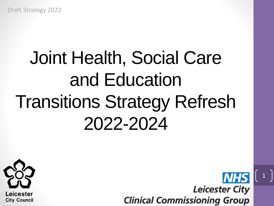# Joint Health, Social Care and Education Transitions Strategy Refresh 2022-2024



**NHS Leicester City Clinical Commissioning Group** 

 $1 \mid$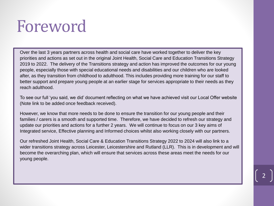# Foreword

Over the last 3 years partners across health and social care have worked together to deliver the key priorities and actions as set out in the original Joint Health, Social Care and Education Transitions Strategy 2019 to 2022. The delivery of the Transitions strategy and action has improved the outcomes for our young people, especially those with special educational needs and disabilities and our children who are looked after, as they transition from childhood to adulthood. This includes providing more training for our staff to better support and prepare young people at an earlier stage for services appropriate to their needs as they reach adulthood.

To see our full 'you said, we did' document reflecting on what we have achieved visit our Local Offer website (Note link to be added once feedback received).

However, we know that more needs to be done to ensure the transition for our young people and their families / carers is a smooth and supported time. Therefore, we have decided to refresh our strategy and update our priorities and actions for a further 2 years. We will continue to focus on our 3 key aims of Integrated service, Effective planning and Informed choices whilst also working closely with our partners.

Our refreshed Joint Health, Social Care & Education Transitions Strategy 2022 to 2024 will also link to a wider transitions strategy across Leicester, Leicestershire and Rutland (LLR). This is in development and will become the overarching plan, which will ensure that services across these areas meet the needs for our young people.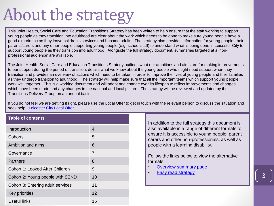# About the strategy

This Joint Health, Social Care and Education Transitions Strategy has been written to help ensure that the staff working to support young people as they transition into adulthood are clear about the work which needs to be done to make sure young people have a good experience as they leave children's services and become adults. The strategy also provides information for young people, their parents/carers and any other people supporting young people (e.g. school staff) to understand what is being done in Leicester City to support young people as they transition into adulthood. Alongside the full strategy document, summaries targeted at a 'nonprofessional audience' are available.

The Joint Health, Social Care and Education Transitions Strategy outlines what our ambitions and aims are for making improvements to our support during the period of transition, details what we know about the young people who might need support when they transition and provides an overview of actions which need to be taken in order to improve the lives of young people and their families as they undergo transition to adulthood. The strategy will help make sure that all the important teams which support young people work well together. This is a working document and will adapt and change over its lifespan to reflect improvements and changes which have been made and any changes in the national and local picture. The strategy will be reviewed and updated by the Transitions Delivery Group on an annual basis.

If you do not feel we are getting it right, please use the Local Offer to get in touch with the relevant person to discuss the situation and seek help - [Leicester City Local Offer](https://families.leicester.gov.uk/send-local-offer/about-local-offer/)

#### **Table of contents**

| Introduction                      | 4  |
|-----------------------------------|----|
| Cohorts                           | 5  |
| Ambition and aims                 | 6  |
| Governance                        | 7  |
| <b>Partners</b>                   | 8  |
| Cohort 1: Looked After Children   | 9  |
| Cohort 2: Young people with SEND  | 10 |
| Cohort 3: Entering adult services | 11 |
| Key priorities                    | 12 |
| <b>Useful links</b>               | 15 |

In addition to the full strategy this document is also available in a range of different formats to ensure it is accessible to young people, parent carers and other non-professionals, as well as people with a learning disability.

Follow the links below to view the alternative formats:

- [Overview summary page](Summary/Summary front page.pdf)
- [Easy read strategy](Transitions Easy Read Strategy.docx)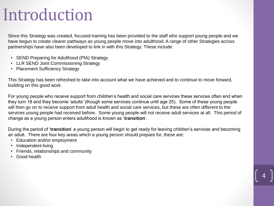### Introduction

Since this Strategy was created, focused training has been provided to the staff who support young people and we have begun to create clearer pathways as young people move into adulthood. A range of other Strategies across partnerships have also been developed to link in with this Strategy. These include:

- SEND Preparing for Adulthood (PfA) Strategy
- LLR SEND Joint Commissioning Strategy
- Placement Sufficiency Strategy

This Strategy has been refreshed to take into account what we have achieved and to continue to move forward, building on this good work.

For young people who receive support from children's health and social care services these services often end when they turn 18 and they become 'adults' (though some services continue until age 25). Some of these young people will then go on to receive support from adult health and social care services, but these are often different to the services young people had received before. Some young people will not receive adult services at all. This period of change as a young person enters adulthood is known as '**transition**'.

During the period of '**transition**' a young person will begin to get ready for leaving children's services and becoming an adult. There are four key areas which a young person should prepare for, these are:

- Education and/or employment
- Independent living
- Friends, relationships and community
- Good health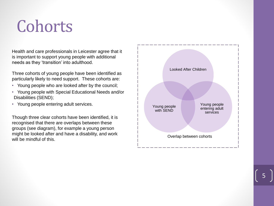# **Cohorts**

Health and care professionals in Leicester agree that it is important to support young people with additional needs as they 'transition' into adulthood.

Three cohorts of young people have been identified as particularly likely to need support. These cohorts are:

- Young people who are looked after by the council;
- Young people with Special Educational Needs and/or Disabilities (SEND);
- Young people entering adult services.

Though three clear cohorts have been identified, it is recognised that there are overlaps between these groups (see diagram), for example a young person might be looked after and have a disability, and work will be mindful of this.

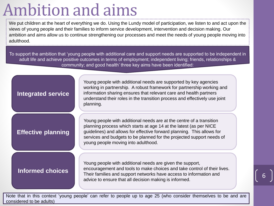# Ambition and aims

We put children at the heart of everything we do. Using the Lundy model of participation, we listen to and act upon the views of young people and their families to inform service development, intervention and decision making. Our ambition and aims allow us to continue strengthening our processes and meet the needs of young people moving into adulthood.

To support the ambition that 'young people with additional care and support needs are supported to be independent in adult life and achieve positive outcomes in terms of employment; independent living; friends, relationships & community; and good health' three key aims have been identified:

#### **Integrated service**

Young people with additional needs are supported by key agencies working in partnership. A robust framework for partnership working and information sharing ensures that relevant care and health partners understand their roles in the transition process and effectively use joint planning.

### **Effective planning**

Young people with additional needs are at the centre of a transition planning process which starts at age 14 at the latest (as per NICE guidelines) and allows for effective forward planning. This allows for services and budgets to be planned for the projected support needs of young people moving into adulthood.

#### **Informed choices**

Young people with additional needs are given the support, encouragement and tools to make choices and take control of their lives. Their families and support networks have access to information and advice to ensure that all decision making is informed.

6

Note that in this context 'young people' can refer to people up to age 25 (who consider themselves to be and are considered to be adults)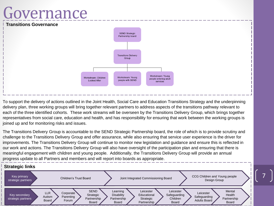### Governance



To support the delivery of actions outlined in the Joint Health, Social Care and Education Transitions Strategy and the underpinning delivery plan, three working groups will bring together relevant partners to address aspects of the transitions pathway relevant to each of the three identified cohorts. These work streams will be overseen by the Transitions Delivery Group, which brings together representatives from social care, education and health, and has responsibility for ensuring that work between the working groups is joined up and for monitoring risks and issues.

The Transitions Delivery Group is accountable to the SEND Strategic Partnership board, the role of which is to provide scrutiny and challenge to the Transitions Delivery Group and offer assurance, while also ensuring that service user experience is the driver for improvements. The Transitions Delivery Group will continue to monitor new legislation and guidance and ensure this is reflected in our work and actions. The Transitions Delivery Group will also have oversight of the participation plan and ensuring that there is meaningful engagement with children and young people. Additionally, the Transitions Delivery Group will provide an annual progress update to all Partners and members and will report into boards as appropriate.

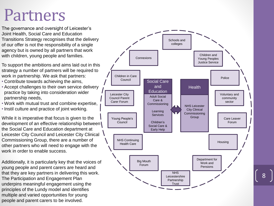### Partners

The governance and oversight of Leicester's Joint Health, Social Care and Education Transitions Strategy recognises that the delivery of our offer is not the responsibility of a single agency but is owned by all partners that work with children, young people and families.

To support the ambitions and aims laid out in this strategy a number of partners will be required to work in partnership. We ask that partners:

- Contribute towards achieving the aims,
- Accept challenges to their own service delivery practice by taking into consideration wider partnership needs,
- Work with mutual trust and combine expertise,
- Instil culture and practice of joint working.

While it is imperative that focus is given to the development of an effective relationship between the Social Care and Education department at Leicester City Council and Leicester City Clinical Commissioning Group, there are a number of other partners who will need to engage with the work in order to enable success.

Additionally, it is particularly key that the voices of young people and parent carers are heard and that they are key partners in delivering this work. The Participation and Engagement Plan underpins meaningful engagement using the principles of the Lundy model and identifies multiple and varied opportunities for young people and parent carers to be involved.

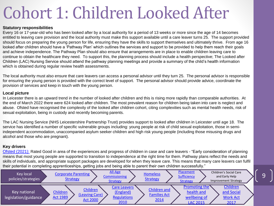# Cohort 1: Children Looked After

#### **Statutory responsibilities**

Every 16 or 17-year-old who has been looked after by a local authority for a period of 13 weeks or more since the age of 14 becomes entitled to leaving care provision and the local authority must make this support available until a care leaver turns 25. The support provided should focus on preparing the young person for life, ensuring they have the skills to support themselves and ultimately thrive. From age 16 looked after children should have a 'Pathway Plan' which outlines the services and support to be provided to help them reach their goals and achieve independence. The Pathway Plan should also ensure that arrangements are in place to enable children leaving care to continue to obtain the healthcare they need. To support this, the planning process should include a health perspective; The Looked after Children (LAC) Nursing Service should attend the pathway planning meetings and provide a summary of the child's health information which is obtained during regular review health assessments.

The local authority must also ensure that care leavers can access a personal advisor until they turn 25. The personal advisor is responsible for ensuring the young person is provided with the correct level of support. The personal advisor should provide advice, coordinate the provision of services and keep in touch with the young person.

#### **Local picture**

In Leicester there is an upward trend in the number of looked after children and this is rising more rapidly than comparable authorities. At the end of March 2022 there were 624 looked after children. The most prevalent reason for children being taken into care is neglect and abuse. Ofsted have recognised the complexity of the looked after children cohort, citing complexities such as mental health needs, risk of sexual exploitation, being in custody and recently becoming parents.

The LAC Nursing Service (NHS Leicestershire Partnership Trust) provides support to looked after children in Leicester until age 18. The service has identified a number of specific vulnerable groups including: young people at risk of child sexual exploitation, those in semiindependent accommodation, unaccompanied asylum seeker children and high risk young people (including those misusing drugs and alcohol and those who are pregnant).

#### **Key drivers**

[Ofsted \(2021\):](https://reports.ofsted.gov.uk/sites/default/files/documents/local_authority_reports/leicester_city/056_Single%20inspection%20of%20LA%20children) Rated Good in area of the experiences and progress of children in case and care leavers - "Early consideration of planning means that most young people are supported to transition to independence at the right time for them. Pathway plans reflect the needs and skills of individuals, and appropriate support packages are developed for when they leave care. This means that many care leavers can fulfil their potential in completing apprenticeships, getting jobs and being able to parent their own children successfully."

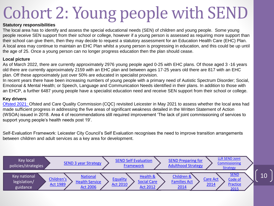# Cohort 2: Young people with SEND

#### **Statutory responsibilities**

The local area has to identify and assess the special educational needs (SEN) of children and young people. Some young people receive SEN support from their school or college, however if a young person is assessed as requiring more support than their school can give them, then they may decide to request a statutory assessment for an Education Health Care (EHC) Plan. A local area may continue to maintain an EHC Plan whilst a young person is progressing in education, and this could be up until the age of 25. Once a young person can no longer progress education then the plan should cease.

#### **Local picture**

As of March 2022, there are currently approximately 2976 young people aged 0-25 with EHC plans. Of those aged 3 -16 years old there are currently approximately 2159 with an EHC plan and between ages 17-25 years old there are 817 with an EHC plan. Off these approximately just over 50% are educated in specialist provision.

In recent years there have been increasing numbers of young people with a primary need of Autistic Spectrum Disorder; Social, Emotional & Mental Health; or Speech, Language and Communication Needs identified in their plans. In addition to those with an EHCP, a further 6487 young people have a specialist education need and receive SEN support from their school or college.

#### **Key drivers**

[Ofsted 2021:](https://files.ofsted.gov.uk/v1/file/50165080) Ofsted and Care Quality Commission (CQC) revisited Leicester in May 2021 to assess whether the local area had made sufficient progress in addressing the five areas of significant weakness detailed in the Written Statement of Action (WSOA) issued in 2018. Area 4 of recommendations still required improvement 'The lack of joint commissioning of services to support young people's health needs post 19'.

Self-Evaluation Framework: Leicester City Council's Self Evaluation recognises the need to improve transition arrangements between children and adult services as a key area for development.

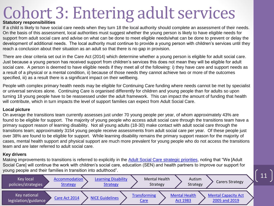# Cohort 3: Entering adult services **Statutory responsibilities**

If a child is likely to have social care needs when they turn 18 the local authority should complete an assessment of their needs. On the basis of this assessment, local authorities must suggest whether the young person is likely to have eligible needs for support from adult social care and advise on what can be done to meet eligible needs/what can be done to prevent or delay the development of additional needs. The local authority must continue to provide a young person with children's services until they reach a conclusion about their situation as an adult so that there is no gap in provision.

There are clear criteria set out in the Care Act (2014) which determine whether a young person is eligible for adult social care. Just because a young person has received support from children's services this does not mean they will be eligible for adult social care. A person is deemed to have eligible needs if they meet all of the following: i) they have care and support needs as a result of a physical or a mental condition, ii) because of those needs they cannot achieve two or more of the outcomes specified, iii) as a result there is a significant impact on their wellbeing.

People with complex primary health needs may be eligible for Continuing Care funding where needs cannot be met by specialist or universal services alone. Continuing Care is organised differently for children and young people than for adults so upon turning 18 young people have to be reassessed under the adult framework. This can impact the amount of funding that health will contribute, which in turn impacts the level of support families can expect from Adult Social Care.

#### **Local picture**

On average the transitions team currently assesses just under 70 young people per year, of whom approximately 43% are found to be eligible for support. The majority of young people who access adult social care through the transitions team have a primary support reason of learning disability. Not all young adults (18-30) make contact with adult social care through the transitions team; approximately 3154 young people receive assessments from adult social care per year. Of these people just over 38% are found to be eligible for support. While learning disability remains the primary support reason for the majority of cases, mental health support and physical support are much more prevalent for young people who do not access the transitions team and are later referred to adult social care.

#### **Key drivers**

Making improvements to transitions is referred to explicitly in the [Adult Social Care strategic priorities](https://www.leicester.gov.uk/media/184445/adult-social-care-strategic-purpose-and-six-strategic-priorities.pdf), noting that "We [Adult Social Care] will continue the work with children's social care, education (SEN) and health partners to improve our support for young people and their families in transition into adulthood".

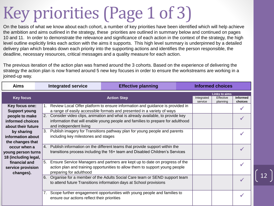# Key priorities (Page 1 of 3)

On the basis of what we know about each cohort, a number of key priorities have been identified which will help achieve the ambition and aims outlined in the strategy, these priorities are outlined in summary below and continued on pages 10 and 11. In order to demonstrate the relevance and significance of each action in the context of the strategy, the high level outline explicitly links each action with the aims it supports. This high level summary is underpinned by a detailed delivery plan which breaks down each priority into the supporting actions and identifies the person responsible, the deadline, necessary resources, critical messages and a quality measure for each action.

The previous iteration of the action plan was framed around the 3 cohorts. Based on the experience of delivering the strategy the action plan is now framed around 5 new key focuses in order to ensure the workstreams are working in a joined-up way.

| <b>Aims</b>          |    | <b>Integrated service</b>                                                           | <b>Effective planning</b>                                                   |  |            | <b>Informed choices</b>           |                 |
|----------------------|----|-------------------------------------------------------------------------------------|-----------------------------------------------------------------------------|--|------------|-----------------------------------|-----------------|
| <b>Key focus</b>     |    |                                                                                     | <b>Action Step</b>                                                          |  | Integrated | <b>Links to aims</b><br>Effective | <b>Informed</b> |
|                      |    |                                                                                     |                                                                             |  | service    | planning                          | choices         |
| Key focus one:       |    | Review Local Offer platform to ensure information and guidance is provided in<br>1. |                                                                             |  |            |                                   |                 |
| <b>Support young</b> |    |                                                                                     | a range of easily accessible formats and presented in a variety of ways     |  |            |                                   |                 |
| people to make       |    | 2.<br>Consider video clips, animation and what is already available, to provide key |                                                                             |  |            |                                   |                 |
| informed choices     |    | information that will enable young people and families to prepare for adulthood     |                                                                             |  |            |                                   |                 |
| about their future   |    | and independent living                                                              |                                                                             |  |            |                                   |                 |
| by sharing           |    | 3.<br>Publish imagery for Transitions pathway plan for young people and parents     |                                                                             |  |            |                                   |                 |
| information about    |    | including key milestones and stages                                                 |                                                                             |  |            |                                   |                 |
| the changes that     |    |                                                                                     |                                                                             |  |            |                                   |                 |
| occur when a         |    | 4. Publish information on the different teams that provide support within the       |                                                                             |  |            |                                   |                 |
| young person turns   |    | transitions process including the 16+ team and Disabled Children's Services         |                                                                             |  |            |                                   |                 |
| 18 (including legal, |    |                                                                                     |                                                                             |  |            |                                   |                 |
| financial and        | 5. |                                                                                     | Ensure Service Managers and partners are kept up to date on progress of the |  |            |                                   |                 |
| service provision    |    | action plan and training opportunities to allow them to support young people        |                                                                             |  |            |                                   |                 |
| changes).            |    | preparing for adulthood                                                             |                                                                             |  |            |                                   |                 |
|                      | 6. |                                                                                     | Organise for a member of the Adults Social Care team or SEND support team   |  |            |                                   | $\checkmark$    |
|                      |    |                                                                                     | to attend future Transitions information days at School provisions          |  |            |                                   |                 |
|                      |    |                                                                                     | Scope further engagement opportunities with young people and families to    |  |            |                                   |                 |
|                      |    | ensure our actions reflect their priorities                                         |                                                                             |  |            |                                   |                 |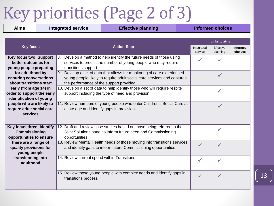# Key priorities (Page 2 of 3)

| <b>Aims</b><br><b>Integrated service</b>                                        |  |                                                                                                                                                                                              | <b>Effective planning</b>                                                                                                                  |  | <b>Informed choices</b> |                       |                            |  |
|---------------------------------------------------------------------------------|--|----------------------------------------------------------------------------------------------------------------------------------------------------------------------------------------------|--------------------------------------------------------------------------------------------------------------------------------------------|--|-------------------------|-----------------------|----------------------------|--|
|                                                                                 |  |                                                                                                                                                                                              |                                                                                                                                            |  |                         | Links to aims         |                            |  |
| <b>Key focus</b>                                                                |  | <b>Action Step</b>                                                                                                                                                                           |                                                                                                                                            |  | Integrated<br>service   | Effective<br>planning | <b>Informed</b><br>choices |  |
| <b>Key focus two: Support</b><br>better outcomes for<br>young people preparing  |  | transitions support                                                                                                                                                                          | 8. Develop a method to help identify the future needs of those using<br>services to predict the number of young people who may require     |  |                         |                       |                            |  |
| for adulthood by<br>ensuring conversations<br>about transitions start           |  | 9. Develop a set of data that allows for monitoring of care experienced<br>young people likely to require adult social care services and captures<br>the performance of the support provided |                                                                                                                                            |  |                         | ✔                     |                            |  |
| early (from age 14) in<br>order to support the early<br>identification of young |  | 10. Develop a set of data to help identify those who will require respite<br>support including the type of need and provision                                                                |                                                                                                                                            |  |                         | $\checkmark$          |                            |  |
| people who are likely to<br>require adult social care<br>services               |  | a late age and identify gaps in provision                                                                                                                                                    | 11. Review numbers of young people who enter Children's Social Care at                                                                     |  |                         | ✔                     |                            |  |
| Key focus three: Identify<br><b>Commissioning</b><br>opportunities to ensure    |  | opportunities                                                                                                                                                                                | 12. Draft and review case studies based on those being referred to the<br>Joint Solutions panel to inform future need and Commissioning    |  |                         | ✔                     |                            |  |
| there are a range of<br>quality provisions for<br>young people                  |  |                                                                                                                                                                                              | 13. Review Mental Health needs of those moving into transitions services<br>and identify gaps to inform future Commissioning opportunities |  | $\checkmark$            | ✔                     |                            |  |
| transitioning into<br>adulthood                                                 |  | 14. Review current spend within Transitions                                                                                                                                                  |                                                                                                                                            |  | ✔                       |                       |                            |  |
|                                                                                 |  | transitions process                                                                                                                                                                          | 15. Review those young people with complex needs and identify gaps in                                                                      |  | $\checkmark$            | $\checkmark$          |                            |  |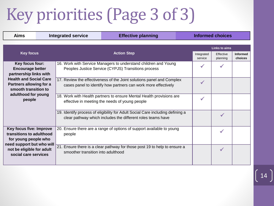# Key priorities (Page 3 of 3)

| <b>Aims</b>                                                                                                                                                   | <b>Integrated service</b> |                                                                                                                                         | <b>Effective planning</b>                                                                                                                     |                       |                       | <b>Informed choices</b>    |  |  |  |
|---------------------------------------------------------------------------------------------------------------------------------------------------------------|---------------------------|-----------------------------------------------------------------------------------------------------------------------------------------|-----------------------------------------------------------------------------------------------------------------------------------------------|-----------------------|-----------------------|----------------------------|--|--|--|
|                                                                                                                                                               |                           |                                                                                                                                         |                                                                                                                                               |                       |                       | <b>Links to aims</b>       |  |  |  |
| <b>Key focus</b>                                                                                                                                              |                           | <b>Action Step</b>                                                                                                                      |                                                                                                                                               | Integrated<br>service | Effective<br>planning | <b>Informed</b><br>choices |  |  |  |
| Key focus four:<br><b>Encourage better</b><br>partnership links with                                                                                          |                           |                                                                                                                                         | 16. Work with Service Managers to understand children and Young<br>Peoples Justice Service (CYPJS) Transitions process                        |                       |                       |                            |  |  |  |
| <b>Health and Social Care</b><br><b>Partners allowing for a</b><br>smooth transition to<br>adulthood for young<br>people                                      |                           | 17. Review the effectiveness of the Joint solutions panel and Complex<br>cases panel to identify how partners can work more effectively |                                                                                                                                               |                       | $\checkmark$          |                            |  |  |  |
|                                                                                                                                                               |                           |                                                                                                                                         | 18. Work with Health partners to ensure Mental Health provisions are<br>effective in meeting the needs of young people                        |                       | ✔                     |                            |  |  |  |
|                                                                                                                                                               |                           |                                                                                                                                         | 19. Identify process of eligibility for Adult Social Care including defining a<br>clear pathway which includes the different roles teams have |                       |                       | ✔                          |  |  |  |
| Key focus five: Improve<br>transitions to adulthood<br>for young people who<br>need support but who will<br>not be eligible for adult<br>social care services |                           | people                                                                                                                                  | 20. Ensure there are a range of options of support available to young                                                                         |                       |                       | ✓                          |  |  |  |
|                                                                                                                                                               |                           | smoother transition into adulthood                                                                                                      | 21. Ensure there is a clear pathway for those post 19 to help to ensure a                                                                     |                       |                       | $\checkmark$               |  |  |  |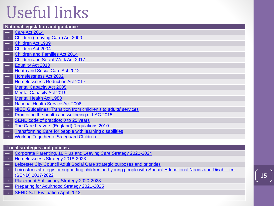# Useful links

#### **National legislation and guidance**

- **→** [Care Act 2014](http://www.legislation.gov.uk/ukpga/2014/23/contents/enacted)
- **[Children \(Leaving Care\) Act 2000](https://www.legislation.gov.uk/ukpga/2000/35/contents)**
- **→** [Children Act 1989](https://www.legislation.gov.uk/ukpga/1989/41/contents)
- **→** [Children Act 2004](https://www.legislation.gov.uk/ukpga/2004/31/contents)
- **→** [Children and Families Act 2014](http://www.legislation.gov.uk/ukpga/2014/6/contents/enacted)
- **→** [Children and Social Work Act 2017](https://www.legislation.gov.uk/ukpga/2017/16/contents)
- **→** [Equality Act 2010](https://www.legislation.gov.uk/ukpga/2010/15/contents)
- **[Heath and Social Care Act 2012](http://www.legislation.gov.uk/ukpga/2012/7/contents/enacted)**
- **→** [Homelessness Act 2002](https://www.legislation.gov.uk/ukpga/2002/7/contents)
- **→** [Homelessness Reduction Act 2017](http://www.legislation.gov.uk/ukpga/2017/13/contents)
- **→** [Mental Capacity Act 2005](https://www.legislation.gov.uk/ukpga/2005/9/contents)
- **[Mental Capacity Act 2019](https://www.legislation.gov.uk/ukpga/2019/18/contents)**
- **→** [Mental Health Act 1983](https://www.legislation.gov.uk/ukpga/1983/20/contents)
- **→** [National Health Service Act 2006](https://www.legislation.gov.uk/ukpga/2006/41/contents)
- **→** [NICE Guidelines: Transition from children's to adults' services](https://www.nice.org.uk/guidance/qs140)
- **→** [Promoting the health and wellbeing of LAC 2015](https://www.gov.uk/government/publications/promoting-the-health-and-wellbeing-of-looked-after-children--2)
- **→** [SEND code of practice: 0 to 25 years](https://www.gov.uk/government/publications/send-code-of-practice-0-to-25)
- **→** [The Care Leavers \(England\) Regulations 2010](http://www.legislation.gov.uk/uksi/2010/2571/made)
- → [Transforming Care for people with learning disabilities](https://www.england.nhs.uk/wp-content/uploads/2015/01/transform-care-nxt-stps.pdf)
- **→** [Working Together to Safeguard Children](https://www.gov.uk/government/publications/working-together-to-safeguard-children--2)

#### **Local strategies and policies**

- → [Corporate Parenting, 16 Plus and Leaving Care Strategy 2022-2024](https://www.leicester.gov.uk/your-council/policies-plans-and-strategies/social-care-and-education/corporate-parenting-strategy/)
- **→** [Homelessness Strategy 2018-2023](https://www.leicester.gov.uk/media/cdllbk4i/homelessness-and-rough-sleeping-strategy-2018-2023.pdf)
- **Leicester City Council Adult Social Care strategic purposes and priorities**
- **→** [Leicester's strategy for supporting children and young people with Special Educational Needs and Disabilities](https://families.leicester.gov.uk/media/1442/send-strategy-2018.pdf)  (SEND) 2017-2022
- **[Placement Sufficiency Strategy 2020-2023](https://www.leicester.gov.uk/media/n1ojgiac/placement-sufficiency-strategy-and-delivery-plan-2020-2023.pdf)**
- **→** [Preparing for Adulthood Strategy 2021-2025](https://www.leicester.gov.uk/your-council/policies-plans-and-strategies/social-care-and-education/preparing-for-adulthood-strategy-2021-2025/)
- **[SEND Self Evaluation April 2018](https://families.leicester.gov.uk/media/1441/leicester-city-send-self-evaluation-form-sef.pdf)**